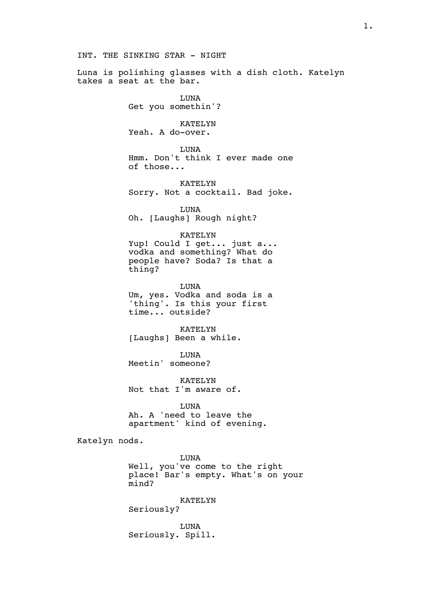## INT. THE SINKING STAR - NIGHT

Luna is polishing glasses with a dish cloth. Katelyn takes a seat at the bar.

> LUNA Get you somethin'?

KATELYN Yeah. A do-over.

LUNA Hmm. Don't think I ever made one of those...

KATELYN Sorry. Not a cocktail. Bad joke.

LUNA Oh. [Laughs] Rough night?

## KATELYN

Yup! Could I get... just a... vodka and something? What do people have? Soda? Is that a thing?

LUNA Um, yes. Vodka and soda is a 'thing'. Is this your first time... outside?

KATELYN [Laughs] Been a while.

LUNA Meetin' someone?

KATELYN Not that I'm aware of.

LUNA Ah. A 'need to leave the apartment' kind of evening.

Katelyn nods.

LUNA Well, you've come to the right place! Bar's empty. What's on your mind?

KATELYN

Seriously?

LUNA Seriously. Spill.